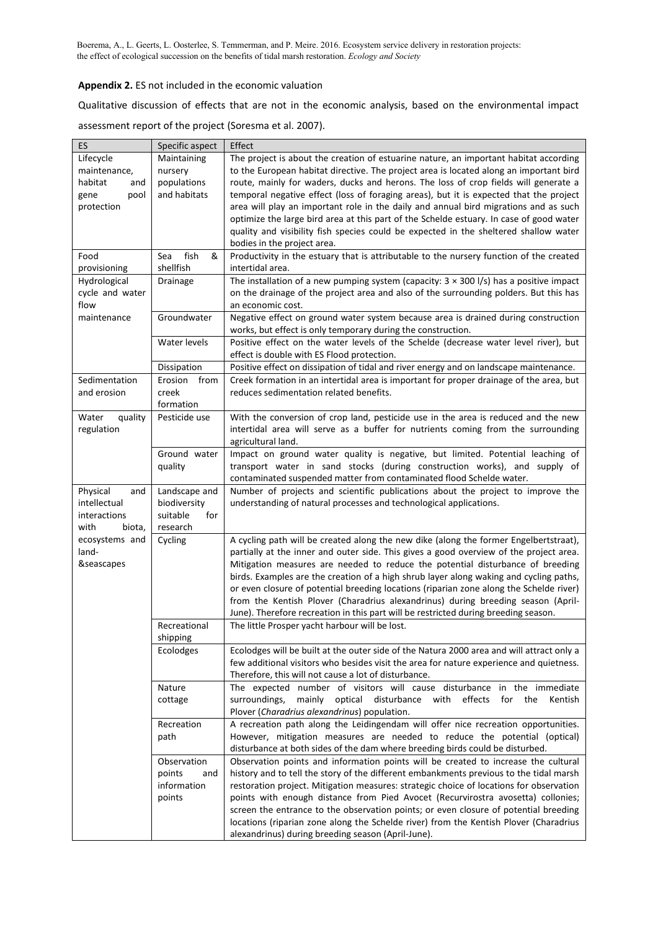Boerema, A., L. Geerts, L. Oosterlee, S. Temmerman, and P. Meire. 2016. Ecosystem service delivery in restoration projects: the effect of ecological succession on the benefits of tidal marsh restoration. *Ecology and Society*

## **Appendix 2.** ES not included in the economic valuation

Qualitative discussion of effects that are not in the economic analysis, based on the environmental impact assessment report of the project (Soresma et al. 2007).

| ES               | Specific aspect  | Effect                                                                                        |
|------------------|------------------|-----------------------------------------------------------------------------------------------|
| Lifecycle        | Maintaining      | The project is about the creation of estuarine nature, an important habitat according         |
| maintenance,     | nursery          | to the European habitat directive. The project area is located along an important bird        |
| habitat<br>and   | populations      | route, mainly for waders, ducks and herons. The loss of crop fields will generate a           |
| gene<br>pool     | and habitats     | temporal negative effect (loss of foraging areas), but it is expected that the project        |
| protection       |                  | area will play an important role in the daily and annual bird migrations and as such          |
|                  |                  | optimize the large bird area at this part of the Schelde estuary. In case of good water       |
|                  |                  | quality and visibility fish species could be expected in the sheltered shallow water          |
|                  |                  | bodies in the project area.                                                                   |
| Food             | fish<br>&<br>Sea | Productivity in the estuary that is attributable to the nursery function of the created       |
| provisioning     | shellfish        | intertidal area.                                                                              |
| Hydrological     | Drainage         | The installation of a new pumping system (capacity: $3 \times 300$ I/s) has a positive impact |
| cycle and water  |                  | on the drainage of the project area and also of the surrounding polders. But this has         |
| flow             |                  | an economic cost.                                                                             |
| maintenance      | Groundwater      | Negative effect on ground water system because area is drained during construction            |
|                  |                  | works, but effect is only temporary during the construction.                                  |
|                  | Water levels     | Positive effect on the water levels of the Schelde (decrease water level river), but          |
|                  |                  | effect is double with ES Flood protection.                                                    |
|                  | Dissipation      | Positive effect on dissipation of tidal and river energy and on landscape maintenance.        |
| Sedimentation    | Erosion from     | Creek formation in an intertidal area is important for proper drainage of the area, but       |
| and erosion      | creek            | reduces sedimentation related benefits.                                                       |
|                  | formation        |                                                                                               |
| Water<br>quality | Pesticide use    | With the conversion of crop land, pesticide use in the area is reduced and the new            |
| regulation       |                  | intertidal area will serve as a buffer for nutrients coming from the surrounding              |
|                  |                  | agricultural land.                                                                            |
|                  | Ground water     | Impact on ground water quality is negative, but limited. Potential leaching of                |
|                  | quality          | transport water in sand stocks (during construction works), and supply of                     |
|                  |                  | contaminated suspended matter from contaminated flood Schelde water.                          |
| Physical<br>and  | Landscape and    | Number of projects and scientific publications about the project to improve the               |
| intellectual     | biodiversity     | understanding of natural processes and technological applications.                            |
| interactions     | suitable<br>for  |                                                                                               |
| with<br>biota,   | research         |                                                                                               |
| ecosystems and   | Cycling          | A cycling path will be created along the new dike (along the former Engelbertstraat),         |
| land-            |                  | partially at the inner and outer side. This gives a good overview of the project area.        |
| &seascapes       |                  | Mitigation measures are needed to reduce the potential disturbance of breeding                |
|                  |                  | birds. Examples are the creation of a high shrub layer along waking and cycling paths,        |
|                  |                  | or even closure of potential breeding locations (riparian zone along the Schelde river)       |
|                  |                  | from the Kentish Plover (Charadrius alexandrinus) during breeding season (April-              |
|                  |                  | June). Therefore recreation in this part will be restricted during breeding season.           |
|                  | Recreational     | The little Prosper yacht harbour will be lost.                                                |
|                  | shipping         |                                                                                               |
|                  | Ecolodges        | Ecolodges will be built at the outer side of the Natura 2000 area and will attract only a     |
|                  |                  | few additional visitors who besides visit the area for nature experience and quietness.       |
|                  |                  | Therefore, this will not cause a lot of disturbance.                                          |
|                  | Nature           | The expected number of visitors will cause disturbance in the immediate                       |
|                  | cottage          | effects<br>surroundings,<br>mainly<br>optical<br>disturbance<br>with<br>for the<br>Kentish    |
|                  |                  | Plover (Charadrius alexandrinus) population.                                                  |
|                  | Recreation       | A recreation path along the Leidingendam will offer nice recreation opportunities.            |
|                  | path             | However, mitigation measures are needed to reduce the potential (optical)                     |
|                  |                  | disturbance at both sides of the dam where breeding birds could be disturbed.                 |
|                  | Observation      | Observation points and information points will be created to increase the cultural            |
|                  | points<br>and    | history and to tell the story of the different embankments previous to the tidal marsh        |
|                  | information      | restoration project. Mitigation measures: strategic choice of locations for observation       |
|                  | points           | points with enough distance from Pied Avocet (Recurvirostra avosetta) collonies;              |
|                  |                  | screen the entrance to the observation points; or even closure of potential breeding          |
|                  |                  | locations (riparian zone along the Schelde river) from the Kentish Plover (Charadrius         |
|                  |                  | alexandrinus) during breeding season (April-June).                                            |